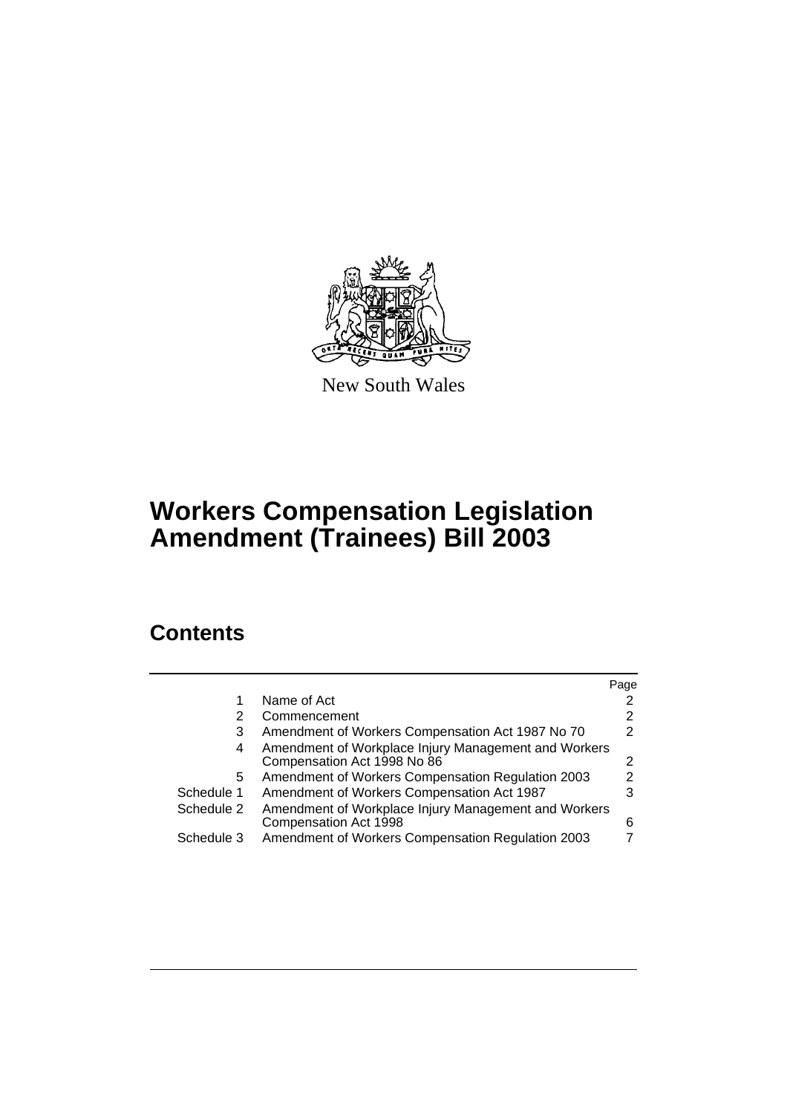

New South Wales

# **Workers Compensation Legislation Amendment (Trainees) Bill 2003**

# **Contents**

|                                                                                     | Page |
|-------------------------------------------------------------------------------------|------|
| Name of Act                                                                         |      |
| Commencement                                                                        |      |
| Amendment of Workers Compensation Act 1987 No 70                                    | 2    |
| Amendment of Workplace Injury Management and Workers<br>Compensation Act 1998 No 86 | 2    |
| Amendment of Workers Compensation Regulation 2003                                   | 2    |
| Amendment of Workers Compensation Act 1987                                          |      |
| Amendment of Workplace Injury Management and Workers<br>Compensation Act 1998       | 6    |
| Amendment of Workers Compensation Regulation 2003                                   |      |
|                                                                                     |      |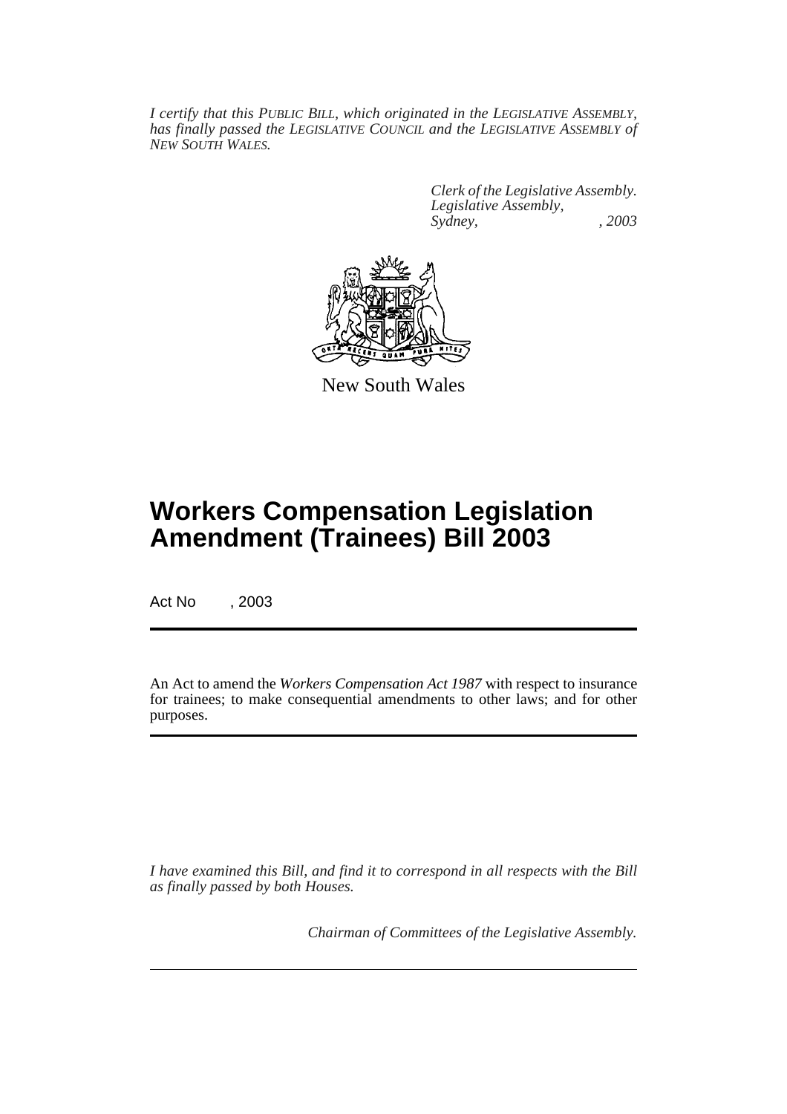*I certify that this PUBLIC BILL, which originated in the LEGISLATIVE ASSEMBLY, has finally passed the LEGISLATIVE COUNCIL and the LEGISLATIVE ASSEMBLY of NEW SOUTH WALES.*

> *Clerk of the Legislative Assembly. Legislative Assembly, Sydney, , 2003*



New South Wales

# **Workers Compensation Legislation Amendment (Trainees) Bill 2003**

Act No , 2003

An Act to amend the *Workers Compensation Act 1987* with respect to insurance for trainees; to make consequential amendments to other laws; and for other purposes.

*I have examined this Bill, and find it to correspond in all respects with the Bill as finally passed by both Houses.*

*Chairman of Committees of the Legislative Assembly.*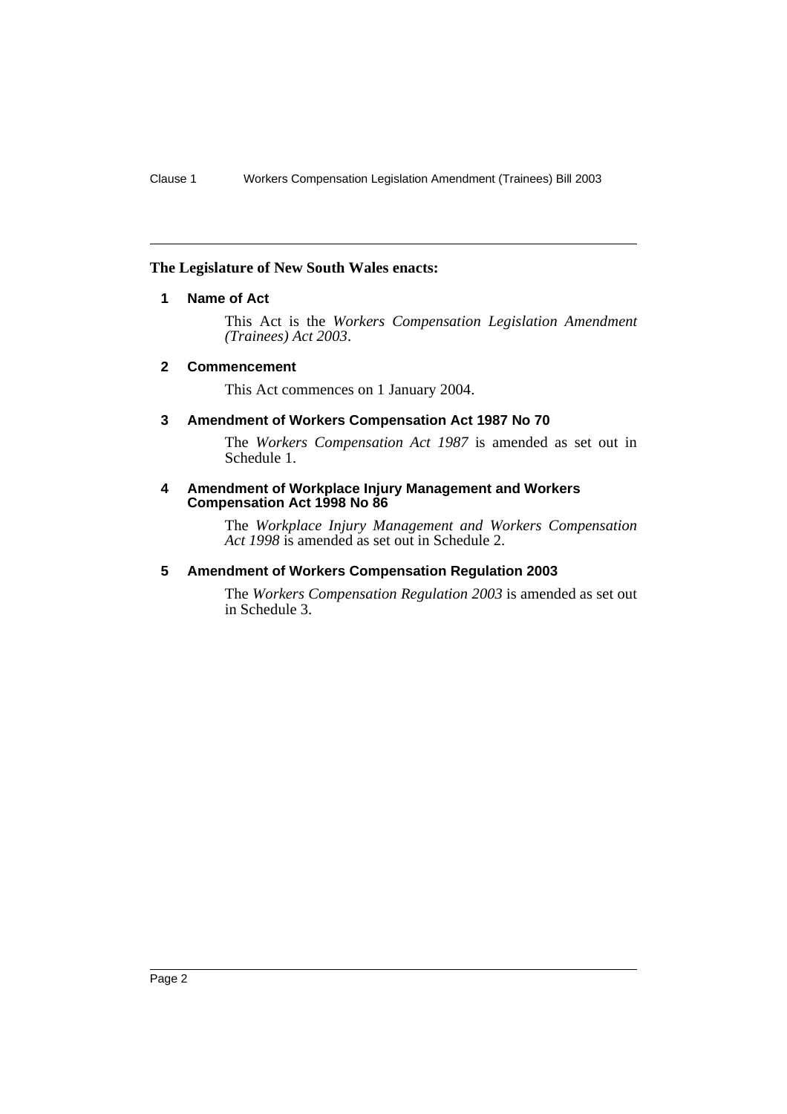#### **The Legislature of New South Wales enacts:**

#### **1 Name of Act**

This Act is the *Workers Compensation Legislation Amendment (Trainees) Act 2003*.

#### **2 Commencement**

This Act commences on 1 January 2004.

#### **3 Amendment of Workers Compensation Act 1987 No 70**

The *Workers Compensation Act 1987* is amended as set out in Schedule 1.

#### **4 Amendment of Workplace Injury Management and Workers Compensation Act 1998 No 86**

The *Workplace Injury Management and Workers Compensation Act 1998* is amended as set out in Schedule 2.

#### **5 Amendment of Workers Compensation Regulation 2003**

The *Workers Compensation Regulation 2003* is amended as set out in Schedule 3.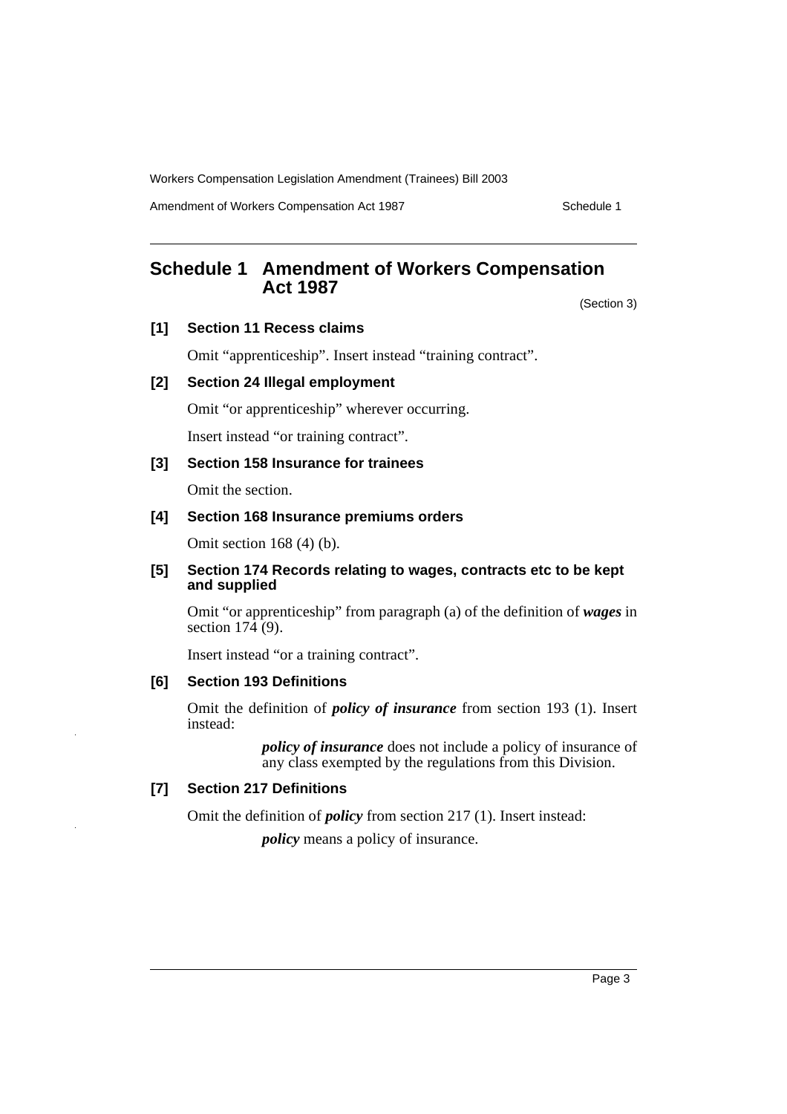Amendment of Workers Compensation Act 1987 Manual Amendment of Workers Compensation Act 1987

# **Schedule 1 Amendment of Workers Compensation Act 1987**

(Section 3)

**[1] Section 11 Recess claims**

Omit "apprenticeship". Insert instead "training contract".

#### **[2] Section 24 Illegal employment**

Omit "or apprenticeship" wherever occurring.

Insert instead "or training contract".

#### **[3] Section 158 Insurance for trainees**

Omit the section.

#### **[4] Section 168 Insurance premiums orders**

Omit section 168 (4) (b).

#### **[5] Section 174 Records relating to wages, contracts etc to be kept and supplied**

Omit "or apprenticeship" from paragraph (a) of the definition of *wages* in section  $17\overline{4}$  (9).

Insert instead "or a training contract".

#### **[6] Section 193 Definitions**

Omit the definition of *policy of insurance* from section 193 (1). Insert instead:

> *policy of insurance* does not include a policy of insurance of any class exempted by the regulations from this Division.

### **[7] Section 217 Definitions**

Omit the definition of *policy* from section 217 (1). Insert instead:

*policy* means a policy of insurance.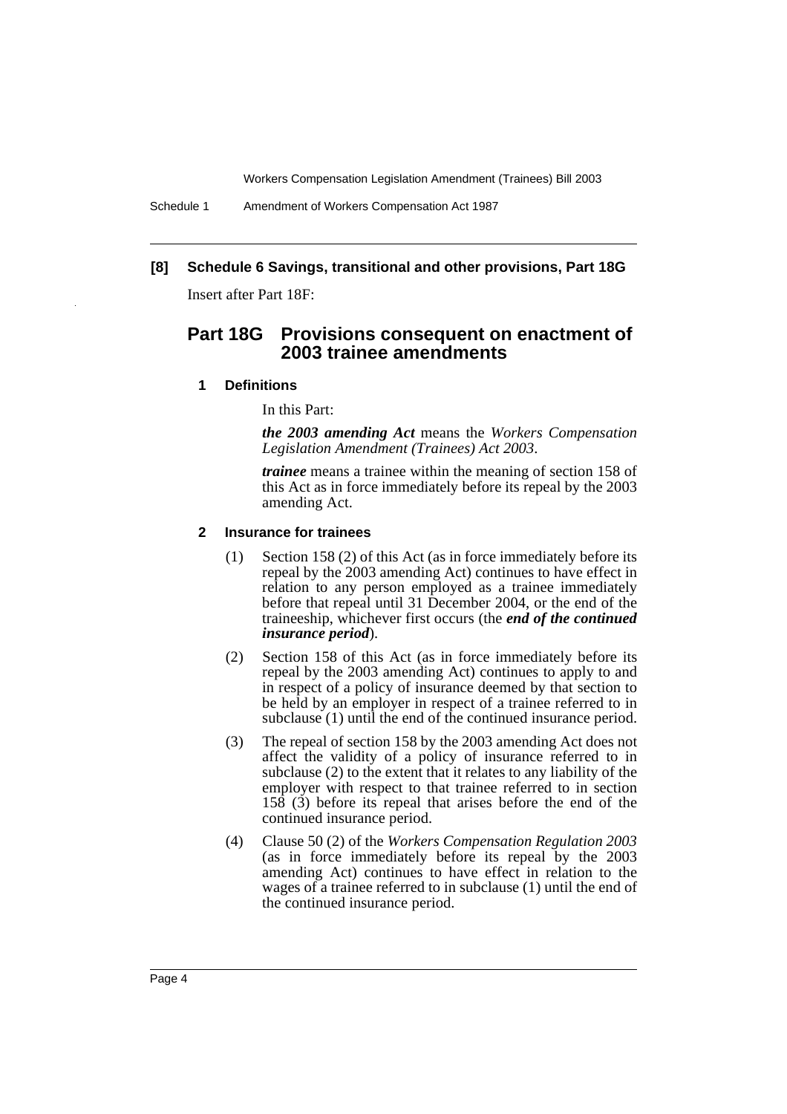Schedule 1 Amendment of Workers Compensation Act 1987

### **[8] Schedule 6 Savings, transitional and other provisions, Part 18G**

Insert after Part 18F:

## **Part 18G Provisions consequent on enactment of 2003 trainee amendments**

#### **1 Definitions**

In this Part:

*the 2003 amending Act* means the *Workers Compensation Legislation Amendment (Trainees) Act 2003*.

*trainee* means a trainee within the meaning of section 158 of this Act as in force immediately before its repeal by the 2003 amending Act.

#### **2 Insurance for trainees**

- (1) Section 158 (2) of this Act (as in force immediately before its repeal by the 2003 amending Act) continues to have effect in relation to any person employed as a trainee immediately before that repeal until 31 December 2004, or the end of the traineeship, whichever first occurs (the *end of the continued insurance period*).
- (2) Section 158 of this Act (as in force immediately before its repeal by the 2003 amending Act) continues to apply to and in respect of a policy of insurance deemed by that section to be held by an employer in respect of a trainee referred to in subclause (1) until the end of the continued insurance period.
- (3) The repeal of section 158 by the 2003 amending Act does not affect the validity of a policy of insurance referred to in subclause (2) to the extent that it relates to any liability of the employer with respect to that trainee referred to in section 158 (3) before its repeal that arises before the end of the continued insurance period.
- (4) Clause 50 (2) of the *Workers Compensation Regulation 2003* (as in force immediately before its repeal by the 2003 amending Act) continues to have effect in relation to the wages of a trainee referred to in subclause (1) until the end of the continued insurance period.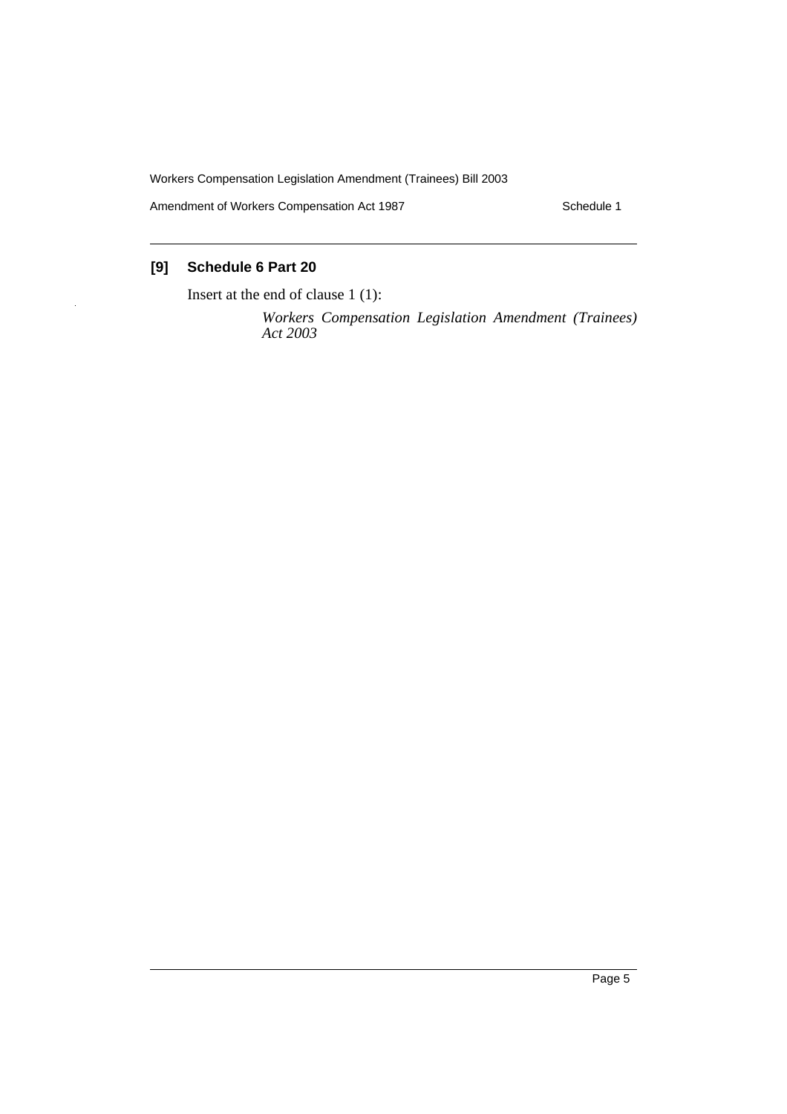Amendment of Workers Compensation Act 1987 Material Contract 2011 Schedule 1

## **[9] Schedule 6 Part 20**

Insert at the end of clause 1 (1):

*Workers Compensation Legislation Amendment (Trainees) Act 2003*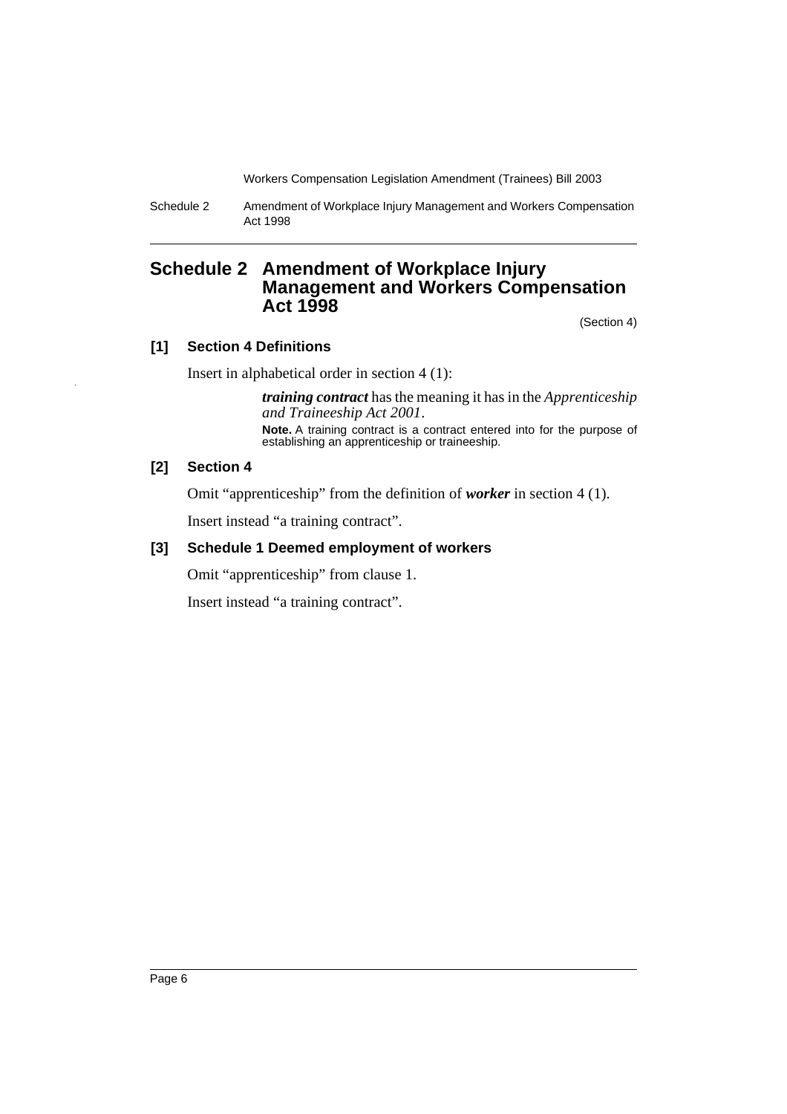Schedule 2 Amendment of Workplace Injury Management and Workers Compensation Act 1998

## **Schedule 2 Amendment of Workplace Injury Management and Workers Compensation Act 1998**

(Section 4)

#### **[1] Section 4 Definitions**

Insert in alphabetical order in section 4 (1):

*training contract* has the meaning it has in the *Apprenticeship and Traineeship Act 2001*. **Note.** A training contract is a contract entered into for the purpose of establishing an apprenticeship or traineeship.

### **[2] Section 4**

Omit "apprenticeship" from the definition of *worker* in section 4 (1).

Insert instead "a training contract".

#### **[3] Schedule 1 Deemed employment of workers**

Omit "apprenticeship" from clause 1.

Insert instead "a training contract".